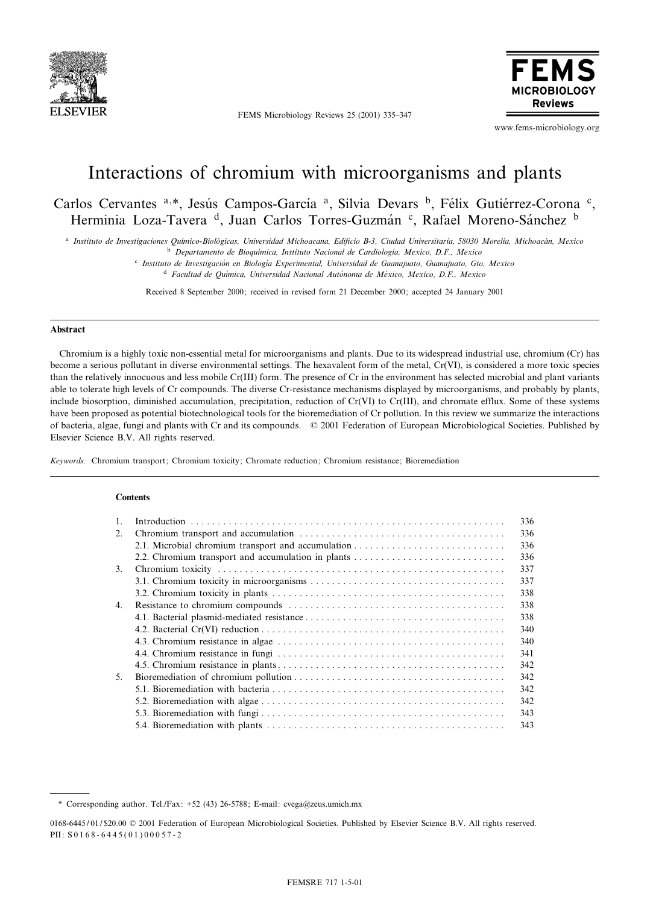

FEMS Microbiology Reviews 25 (2001) 335-347



www.fems-microbiology.org

# Interactions of chromium with microorganisms and plants

Carlos Cervantes a,\*, Jesús Campos-García a, Silvia Devars <sup>b</sup>, Félix Gutiérrez-Corona <sup>c</sup>, Herminia Loza-Tavera <sup>d</sup>, Juan Carlos Torres-Guzmán <sup>c</sup>, Rafael Moreno-Sánchez <sup>b</sup>

<sup>a</sup> Instituto de Investigaciones Químico-Biológicas, Universidad Michoacana, Edificio B-3, Ciudad Universitaria, 58030 Morelia, Michoacán, Mexico

<sup>b</sup> Departamento de Bioquímica, Instituto Nacional de Cardiología, Mexico, D.F., Mexico

<sup>c</sup> Instituto de Investigación en Biología Experimental, Universidad de Guanajuato, Guanajuato, Gto, Mexico

 $d$  Facultad de Química, Universidad Nacional Autónoma de México, Mexico, D.F., Mexico

Received 8 September 2000; received in revised form 21 December 2000; accepted 24 January 2001

## Abstract

Chromium is a highly toxic non-essential metal for microorganisms and plants. Due to its widespread industrial use, chromium (Cr) has become a serious pollutant in diverse environmental settings. The hexavalent form of the metal, Cr(VI), is considered a more toxic species than the relatively innocuous and less mobile Cr(III) form. The presence of Cr in the environment has selected microbial and plant variants able to tolerate high levels of Cr compounds. The diverse Cr-resistance mechanisms displayed by microorganisms, and probably by plants, include biosorption, diminished accumulation, precipitation, reduction of Cr(VI) to Cr(III), and chromate efflux. Some of these systems have been proposed as potential biotechnological tools for the bioremediation of Cr pollution. In this review we summarize the interactions of bacteria, algae, fungi and plants with Cr and its compounds. ß 2001 Federation of European Microbiological Societies. Published by Elsevier Science B.V. All rights reserved.

Keywords: Chromium transport; Chromium toxicity; Chromate reduction; Chromium resistance; Bioremediation

# **Contents**

|                | 336 |
|----------------|-----|
| 2.             | 336 |
|                | 336 |
|                | 336 |
| 3.             | 337 |
|                | 337 |
|                | 338 |
| 4.             | 338 |
|                | 338 |
|                | 340 |
|                | 340 |
|                | 341 |
|                | 342 |
| 5 <sub>1</sub> | 342 |
|                | 342 |
|                | 342 |
|                | 343 |
|                | 343 |

0168-6445/01/\$20.00 © 2001 Federation of European Microbiological Societies. Published by Elsevier Science B.V. All rights reserved. PII: S 0 1 6 8 - 6 4 4 5 ( 0 1 ) 0 0 0 5 7 - 2

<sup>\*</sup> Corresponding author. Tel./Fax: +52 (43) 26-5788; E-mail: cvega@zeus.umich.mx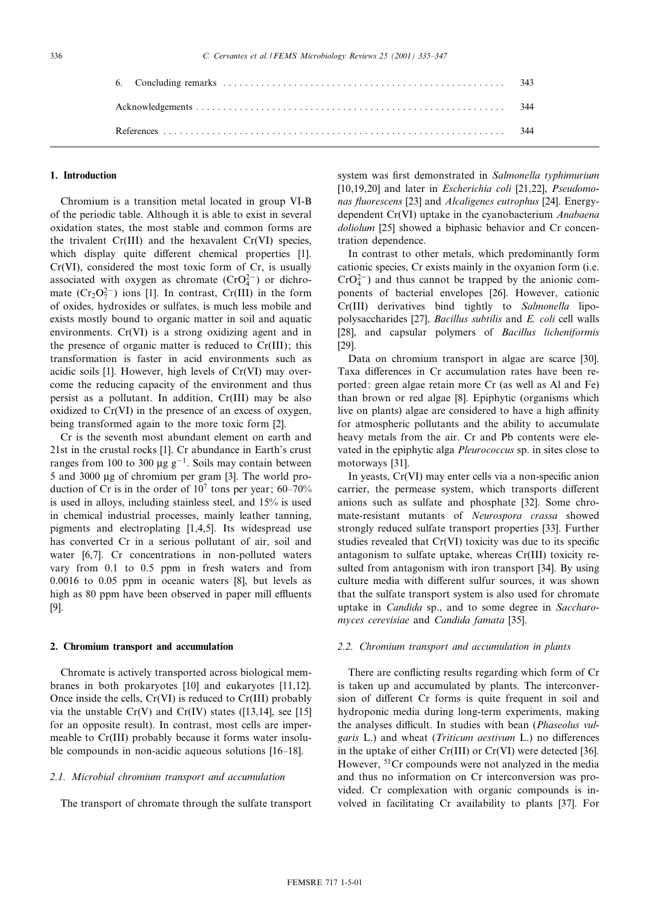## 1. Introduction

Chromium is a transition metal located in group VI-B of the periodic table. Although it is able to exist in several oxidation states, the most stable and common forms are the trivalent  $Cr(III)$  and the hexavalent  $Cr(VI)$  species, which display quite different chemical properties [1]. Cr(VI), considered the most toxic form of Cr, is usually associated with oxygen as chromate  $(CrO<sub>4</sub><sup>2</sup>)$  or dichromate  $(Cr_2O_7^{2-})$  ions [1]. In contrast,  $Cr(III)$  in the form of oxides, hydroxides or sulfates, is much less mobile and exists mostly bound to organic matter in soil and aquatic environments. Cr(VI) is a strong oxidizing agent and in the presence of organic matter is reduced to Cr(III); this transformation is faster in acid environments such as acidic soils [1]. However, high levels of Cr(VI) may overcome the reducing capacity of the environment and thus persist as a pollutant. In addition, Cr(III) may be also oxidized to Cr(VI) in the presence of an excess of oxygen, being transformed again to the more toxic form [2].

Cr is the seventh most abundant element on earth and 21st in the crustal rocks [1]. Cr abundance in Earth's crust ranges from 100 to 300  $\mu$ g g<sup>-1</sup>. Soils may contain between 5 and 3000 µg of chromium per gram [3]. The world production of Cr is in the order of  $10<sup>7</sup>$  tons per year; 60-70% is used in alloys, including stainless steel, and 15% is used in chemical industrial processes, mainly leather tanning, pigments and electroplating [1,4,5]. Its widespread use has converted Cr in a serious pollutant of air, soil and water [6,7]. Cr concentrations in non-polluted waters vary from 0.1 to 0.5 ppm in fresh waters and from 0.0016 to 0.05 ppm in oceanic waters [8], but levels as high as 80 ppm have been observed in paper mill effluents [9].

## 2. Chromium transport and accumulation

Chromate is actively transported across biological membranes in both prokaryotes [10] and eukaryotes [11,12]. Once inside the cells, Cr(VI) is reduced to Cr(III) probably via the unstable  $Cr(V)$  and  $Cr(IV)$  states ([13,14], see [15] for an opposite result). In contrast, most cells are impermeable to Cr(III) probably because it forms water insoluble compounds in non-acidic aqueous solutions [16-18].

# 2.1. Microbial chromium transport and accumulation

The transport of chromate through the sulfate transport

system was first demonstrated in Salmonella typhimurium [10,19,20] and later in Escherichia coli [21,22], Pseudomonas fluorescens [23] and Alcaligenes eutrophus [24]. Energydependent Cr(VI) uptake in the cyanobacterium Anabaena doliolum [25] showed a biphasic behavior and Cr concentration dependence.

In contrast to other metals, which predominantly form cationic species, Cr exists mainly in the oxyanion form (i.e.  $CrO_4^{2-}$ ) and thus cannot be trapped by the anionic components of bacterial envelopes [26]. However, cationic Cr(III) derivatives bind tightly to Salmonella lipopolysaccharides [27], Bacillus subtilis and E. coli cell walls [28], and capsular polymers of Bacillus licheniformis [29].

Data on chromium transport in algae are scarce [30]. Taxa differences in Cr accumulation rates have been reported: green algae retain more Cr (as well as Al and Fe) than brown or red algae [8]. Epiphytic (organisms which live on plants) algae are considered to have a high affinity for atmospheric pollutants and the ability to accumulate heavy metals from the air. Cr and Pb contents were elevated in the epiphytic alga Pleurococcus sp. in sites close to motorways [31].

In yeasts,  $Cr(VI)$  may enter cells via a non-specific anion carrier, the permease system, which transports different anions such as sulfate and phosphate [32]. Some chromate-resistant mutants of Neurospora crassa showed strongly reduced sulfate transport properties [33]. Further studies revealed that  $Cr(VI)$  toxicity was due to its specific antagonism to sulfate uptake, whereas Cr(III) toxicity resulted from antagonism with iron transport [34]. By using culture media with different sulfur sources, it was shown that the sulfate transport system is also used for chromate uptake in Candida sp., and to some degree in Saccharomyces cerevisiae and Candida famata [35].

#### 2.2. Chromium transport and accumulation in plants

There are conflicting results regarding which form of Cr is taken up and accumulated by plants. The interconversion of different Cr forms is quite frequent in soil and hydroponic media during long-term experiments, making the analyses difficult. In studies with bean (Phaseolus vulgaris  $L$ .) and wheat (*Triticum aestivum*  $L$ .) no differences in the uptake of either Cr(III) or Cr(VI) were detected [36]. However, 51Cr compounds were not analyzed in the media and thus no information on Cr interconversion was provided. Cr complexation with organic compounds is involved in facilitating Cr availability to plants [37]. For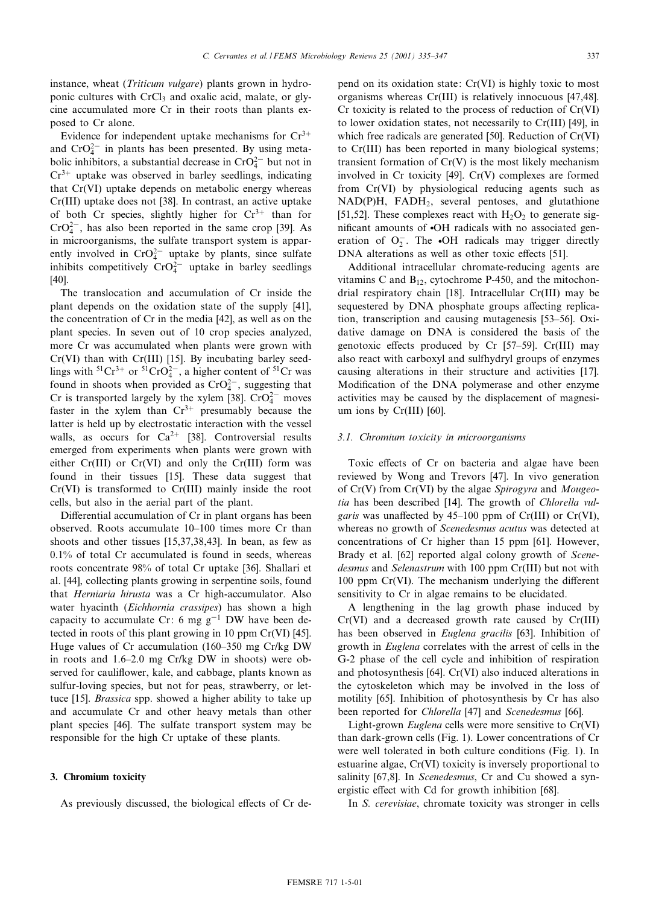instance, wheat (*Triticum vulgare*) plants grown in hydroponic cultures with CrCl<sub>3</sub> and oxalic acid, malate, or glycine accumulated more Cr in their roots than plants exposed to Cr alone.

Evidence for independent uptake mechanisms for  $Cr^{3+}$ and  $CrO_4^{2-}$  in plants has been presented. By using metabolic inhibitors, a substantial decrease in  $CrO_4^{2-}$  but not in  $Cr^{3+}$  uptake was observed in barley seedlings, indicating that Cr(VI) uptake depends on metabolic energy whereas Cr(III) uptake does not [38]. In contrast, an active uptake of both Cr species, slightly higher for  $Cr^{3+}$  than for  $CrO<sub>4</sub><sup>2–</sup>$ , has also been reported in the same crop [39]. As in microorganisms, the sulfate transport system is apparently involved in  $CrO_4^{2-}$  uptake by plants, since sulfate inhibits competitively  $CrO_4^{2-}$  uptake in barley seedlings [40].

The translocation and accumulation of Cr inside the plant depends on the oxidation state of the supply [41], the concentration of Cr in the media [42], as well as on the plant species. In seven out of 10 crop species analyzed, more Cr was accumulated when plants were grown with Cr(VI) than with Cr(III) [15]. By incubating barley seedlings with  ${}^{51}Cr^{3+}$  or  ${}^{51}CrO_4^{2-}$ , a higher content of  ${}^{51}Cr$  was found in shoots when provided as  $CrO_4^{2-}$ , suggesting that Cr is transported largely by the xylem [38].  $CrO_4^{2-}$  moves faster in the xylem than  $Cr^{3+}$  presumably because the latter is held up by electrostatic interaction with the vessel walls, as occurs for  $Ca^{2+}$  [38]. Controversial results emerged from experiments when plants were grown with either Cr(III) or Cr(VI) and only the Cr(III) form was found in their tissues [15]. These data suggest that Cr(VI) is transformed to Cr(III) mainly inside the root cells, but also in the aerial part of the plant.

Differential accumulation of Cr in plant organs has been observed. Roots accumulate 10^100 times more Cr than shoots and other tissues [15,37,38,43]. In bean, as few as 0.1% of total Cr accumulated is found in seeds, whereas roots concentrate 98% of total Cr uptake [36]. Shallari et al. [44], collecting plants growing in serpentine soils, found that Herniaria hirusta was a Cr high-accumulator. Also water hyacinth (Eichhornia crassipes) has shown a high capacity to accumulate Cr: 6 mg  $g^{-1}$  DW have been detected in roots of this plant growing in 10 ppm Cr(VI) [45]. Huge values of Cr accumulation (160–350 mg Cr/kg DW in roots and  $1.6-2.0$  mg Cr/kg DW in shoots) were observed for cauliflower, kale, and cabbage, plants known as sulfur-loving species, but not for peas, strawberry, or lettuce [15]. Brassica spp. showed a higher ability to take up and accumulate Cr and other heavy metals than other plant species [46]. The sulfate transport system may be responsible for the high Cr uptake of these plants.

#### 3. Chromium toxicity

As previously discussed, the biological effects of Cr de-

pend on its oxidation state: Cr(VI) is highly toxic to most organisms whereas Cr(III) is relatively innocuous [47,48]. Cr toxicity is related to the process of reduction of Cr(VI) to lower oxidation states, not necessarily to Cr(III) [49], in which free radicals are generated [50]. Reduction of Cr(VI) to Cr(III) has been reported in many biological systems; transient formation of  $Cr(V)$  is the most likely mechanism involved in Cr toxicity [49]. Cr(V) complexes are formed from Cr(VI) by physiological reducing agents such as NAD(P)H, FADH2, several pentoses, and glutathione [51,52]. These complexes react with  $H_2O_2$  to generate significant amounts of  $\bullet$ OH radicals with no associated generation of  $O_2^-$ . The  $\bullet$ OH radicals may trigger directly DNA alterations as well as other toxic effects [51].

Additional intracellular chromate-reducing agents are vitamins C and  $B_{12}$ , cytochrome P-450, and the mitochondrial respiratory chain [18]. Intracellular Cr(III) may be sequestered by DNA phosphate groups affecting replication, transcription and causing mutagenesis [53^56]. Oxidative damage on DNA is considered the basis of the genotoxic effects produced by  $Cr$  [57-59].  $Cr(III)$  may also react with carboxyl and sulfhydryl groups of enzymes causing alterations in their structure and activities [17]. Modification of the DNA polymerase and other enzyme activities may be caused by the displacement of magnesium ions by Cr(III) [60].

#### 3.1. Chromium toxicity in microorganisms

Toxic effects of Cr on bacteria and algae have been reviewed by Wong and Trevors [47]. In vivo generation of Cr(V) from Cr(VI) by the algae Spirogyra and Mougeotia has been described [14]. The growth of Chlorella vulgaris was unaffected by  $45-100$  ppm of Cr(III) or Cr(VI), whereas no growth of Scenedesmus acutus was detected at concentrations of Cr higher than 15 ppm [61]. However, Brady et al. [62] reported algal colony growth of *Scene*desmus and Selenastrum with 100 ppm Cr(III) but not with  $100$  ppm Cr(VI). The mechanism underlying the different sensitivity to Cr in algae remains to be elucidated.

A lengthening in the lag growth phase induced by Cr(VI) and a decreased growth rate caused by Cr(III) has been observed in *Euglena gracilis* [63]. Inhibition of growth in Euglena correlates with the arrest of cells in the G-2 phase of the cell cycle and inhibition of respiration and photosynthesis [64]. Cr(VI) also induced alterations in the cytoskeleton which may be involved in the loss of motility [65]. Inhibition of photosynthesis by Cr has also been reported for *Chlorella* [47] and *Scenedesmus* [66].

Light-grown Euglena cells were more sensitive to Cr(VI) than dark-grown cells (Fig. 1). Lower concentrations of Cr were well tolerated in both culture conditions (Fig. 1). In estuarine algae, Cr(VI) toxicity is inversely proportional to salinity [67,8]. In Scenedesmus, Cr and Cu showed a synergistic effect with Cd for growth inhibition [68].

In S. cerevisiae, chromate toxicity was stronger in cells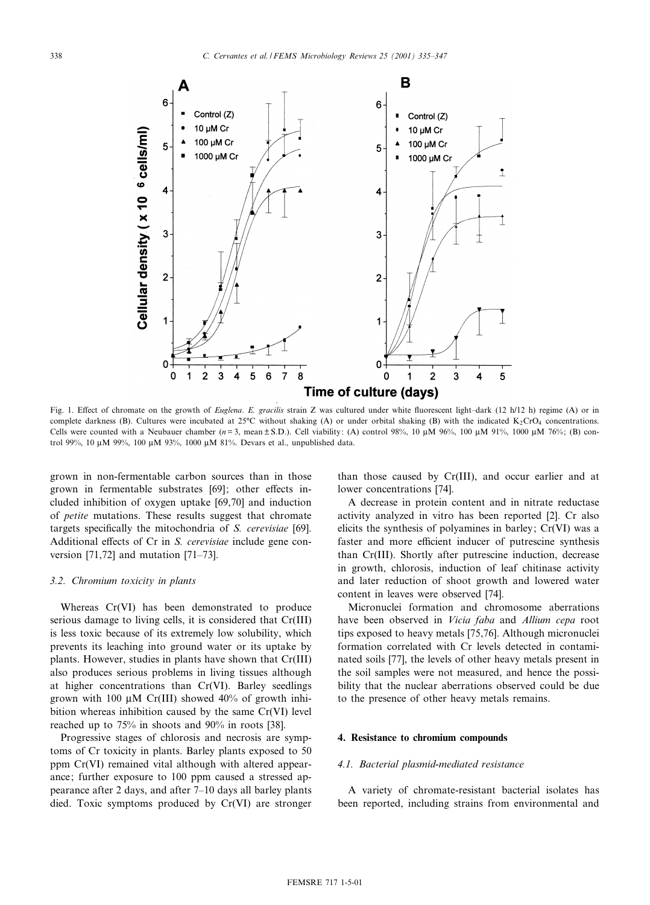

Fig. 1. Effect of chromate on the growth of *Euglena. E. gracilis* strain Z was cultured under white fluorescent light-dark (12 h/12 h) regime (A) or in complete darkness (B). Cultures were incubated at  $25^{\circ}$ C without shaking (A) or under orbital shaking (B) with the indicated K<sub>2</sub>CrO<sub>4</sub> concentrations. Cells were counted with a Neubauer chamber  $(n=3, \text{mean} \pm S.D.)$ . Cell viability: (A) control 98%, 10  $\mu$ M 96%, 100  $\mu$ M 91%, 1000  $\mu$ M 76%; (B) control 99%, 10 µM 99%, 100 µM 93%, 1000 µM 81%. Devars et al., unpublished data.

grown in non-fermentable carbon sources than in those grown in fermentable substrates [69]; other effects included inhibition of oxygen uptake [69,70] and induction of petite mutations. These results suggest that chromate targets specifically the mitochondria of S. cerevisiae [69]. Additional effects of Cr in S. cerevisiae include gene conversion  $[71,72]$  and mutation  $[71–73]$ .

## 3.2. Chromium toxicity in plants

Whereas Cr(VI) has been demonstrated to produce serious damage to living cells, it is considered that Cr(III) is less toxic because of its extremely low solubility, which prevents its leaching into ground water or its uptake by plants. However, studies in plants have shown that Cr(III) also produces serious problems in living tissues although at higher concentrations than Cr(VI). Barley seedlings grown with 100  $\mu$ M Cr(III) showed 40% of growth inhibition whereas inhibition caused by the same Cr(VI) level reached up to 75% in shoots and 90% in roots [38].

Progressive stages of chlorosis and necrosis are symptoms of Cr toxicity in plants. Barley plants exposed to 50 ppm Cr(VI) remained vital although with altered appearance; further exposure to 100 ppm caused a stressed appearance after 2 days, and after 7^10 days all barley plants died. Toxic symptoms produced by Cr(VI) are stronger than those caused by Cr(III), and occur earlier and at lower concentrations [74].

A decrease in protein content and in nitrate reductase activity analyzed in vitro has been reported [2]. Cr also elicits the synthesis of polyamines in barley; Cr(VI) was a faster and more efficient inducer of putrescine synthesis than Cr(III). Shortly after putrescine induction, decrease in growth, chlorosis, induction of leaf chitinase activity and later reduction of shoot growth and lowered water content in leaves were observed [74].

Micronuclei formation and chromosome aberrations have been observed in Vicia faba and Allium cepa root tips exposed to heavy metals [75,76]. Although micronuclei formation correlated with Cr levels detected in contaminated soils [77], the levels of other heavy metals present in the soil samples were not measured, and hence the possibility that the nuclear aberrations observed could be due to the presence of other heavy metals remains.

## 4. Resistance to chromium compounds

#### 4.1. Bacterial plasmid-mediated resistance

A variety of chromate-resistant bacterial isolates has been reported, including strains from environmental and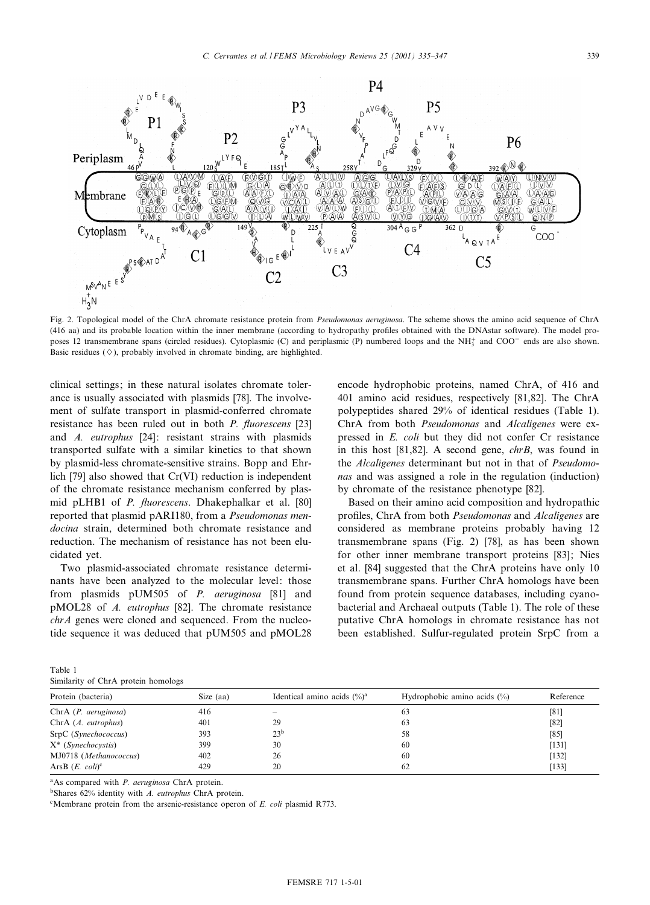

Fig. 2. Topological model of the ChrA chromate resistance protein from Pseudomonas aeruginosa. The scheme shows the amino acid sequence of ChrA (416 aa) and its probable location within the inner membrane (according to hydropathy profiles obtained with the DNAstar software). The model proposes 12 transmembrane spans (circled residues). Cytoplasmic (C) and periplasmic (P) numbered loops and the NH<sup>+</sup> and COO<sup>-</sup> ends are also shown. Basic residues  $(\Diamond)$ , probably involved in chromate binding, are highlighted.

clinical settings; in these natural isolates chromate tolerance is usually associated with plasmids [78]. The involvement of sulfate transport in plasmid-conferred chromate resistance has been ruled out in both  $P$ . *fluorescens* [23] and A. eutrophus [24]: resistant strains with plasmids transported sulfate with a similar kinetics to that shown by plasmid-less chromate-sensitive strains. Bopp and Ehrlich [79] also showed that Cr(VI) reduction is independent of the chromate resistance mechanism conferred by plasmid pLHB1 of P. fluorescens. Dhakephalkar et al. [80] reported that plasmid pARI180, from a Pseudomonas mendocina strain, determined both chromate resistance and reduction. The mechanism of resistance has not been elucidated yet.

Two plasmid-associated chromate resistance determinants have been analyzed to the molecular level: those from plasmids pUM505 of P. aeruginosa [81] and pMOL28 of A. eutrophus [82]. The chromate resistance chrA genes were cloned and sequenced. From the nucleotide sequence it was deduced that pUM505 and pMOL28 encode hydrophobic proteins, named ChrA, of 416 and 401 amino acid residues, respectively [81,82]. The ChrA polypeptides shared 29% of identical residues (Table 1). ChrA from both Pseudomonas and Alcaligenes were expressed in E. coli but they did not confer Cr resistance in this host [81,82]. A second gene, chrB, was found in the Alcaligenes determinant but not in that of Pseudomonas and was assigned a role in the regulation (induction) by chromate of the resistance phenotype [82].

Based on their amino acid composition and hydropathic profiles, ChrA from both *Pseudomonas* and *Alcaligenes* are considered as membrane proteins probably having 12 transmembrane spans (Fig. 2) [78], as has been shown for other inner membrane transport proteins [83]; Nies et al. [84] suggested that the ChrA proteins have only 10 transmembrane spans. Further ChrA homologs have been found from protein sequence databases, including cyanobacterial and Archaeal outputs (Table 1). The role of these putative ChrA homologs in chromate resistance has not been established. Sulfur-regulated protein SrpC from a

Table 1 Similarity of ChrA protein homologs

| Protein (bacteria)             | Size $(aa)$ | Identical amino acids $(\%)^a$ | Hydrophobic amino acids $(\%)$ | Reference |  |  |  |
|--------------------------------|-------------|--------------------------------|--------------------------------|-----------|--|--|--|
| ChrA (P. aeruginosa)           | 416         | $\overline{\phantom{0}}$       | 63                             | [81]      |  |  |  |
| $ChrA (A. \textit{eutrophus})$ | 401         | 29                             | 63                             | [82]      |  |  |  |
| SrpC (Synechococcus)           | 393         | 23 <sup>b</sup>                | 58                             | [85]      |  |  |  |
| $X^*$ ( <i>Synechocystis</i> ) | 399         | 30                             | 60                             | [131]     |  |  |  |
| MJ0718 (Methanococcus)         | 402         | 26                             | 60                             | [132]     |  |  |  |
| ArsB $(E. \text{ coli})^c$     | 429         | 20                             | 62                             | [133]     |  |  |  |
|                                |             |                                |                                |           |  |  |  |

<sup>a</sup>As compared with *P. aeruginosa* ChrA protein.

<sup>b</sup>Shares 62% identity with A. eutrophus ChrA protein.

 $c$ Membrane protein from the arsenic-resistance operon of E. coli plasmid R773.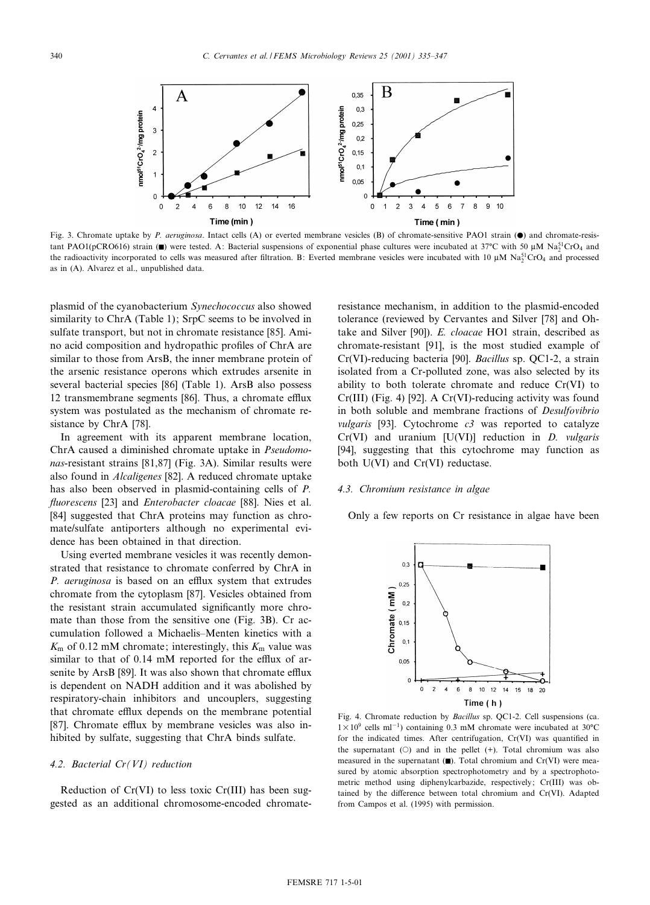

Fig. 3. Chromate uptake by P. aeruginosa. Intact cells (A) or everted membrane vesicles (B) of chromate-sensitive PAO1 strain ( $\bullet$ ) and chromate-resistant PAO1(pCRO616) strain ( $\blacksquare$ ) were tested. A: Bacterial suspensions of exponential phase cultures were incubated at 37°C with 50 µM Na<sup>51</sup>CrO<sub>4</sub> and the radioactivity incorporated to cells was measured after filtration. B: Everted membrane vesicles were incubated with 10  $\mu$ M Na<sup>51</sup>CrO<sub>4</sub> and processed as in (A). Alvarez et al., unpublished data.

plasmid of the cyanobacterium Synechococcus also showed similarity to ChrA (Table 1); SrpC seems to be involved in sulfate transport, but not in chromate resistance [85]. Amino acid composition and hydropathic profiles of ChrA are similar to those from ArsB, the inner membrane protein of the arsenic resistance operons which extrudes arsenite in several bacterial species [86] (Table 1). ArsB also possess 12 transmembrane segments  $[86]$ . Thus, a chromate efflux system was postulated as the mechanism of chromate resistance by ChrA [78].

In agreement with its apparent membrane location, ChrA caused a diminished chromate uptake in Pseudomonas-resistant strains [81,87] (Fig. 3A). Similar results were also found in Alcaligenes [82]. A reduced chromate uptake has also been observed in plasmid-containing cells of P. fluorescens [23] and Enterobacter cloacae [88]. Nies et al. [84] suggested that ChrA proteins may function as chromate/sulfate antiporters although no experimental evidence has been obtained in that direction.

Using everted membrane vesicles it was recently demonstrated that resistance to chromate conferred by ChrA in P. aeruginosa is based on an efflux system that extrudes chromate from the cytoplasm [87]. Vesicles obtained from the resistant strain accumulated significantly more chromate than those from the sensitive one (Fig. 3B). Cr accumulation followed a Michaelis^Menten kinetics with a  $K<sub>m</sub>$  of 0.12 mM chromate; interestingly, this  $K<sub>m</sub>$  value was similar to that of  $0.14$  mM reported for the efflux of arsenite by ArsB [89]. It was also shown that chromate efflux is dependent on NADH addition and it was abolished by respiratory-chain inhibitors and uncouplers, suggesting that chromate efflux depends on the membrane potential [87]. Chromate efflux by membrane vesicles was also inhibited by sulfate, suggesting that ChrA binds sulfate.

#### 4.2. Bacterial Cr(VI) reduction

Reduction of Cr(VI) to less toxic Cr(III) has been suggested as an additional chromosome-encoded chromateresistance mechanism, in addition to the plasmid-encoded tolerance (reviewed by Cervantes and Silver [78] and Ohtake and Silver [90]). E. cloacae HO1 strain, described as chromate-resistant [91], is the most studied example of Cr(VI)-reducing bacteria [90]. Bacillus sp. QC1-2, a strain isolated from a Cr-polluted zone, was also selected by its ability to both tolerate chromate and reduce Cr(VI) to Cr(III) (Fig. 4) [92]. A Cr(VI)-reducing activity was found in both soluble and membrane fractions of Desulfovibrio vulgaris [93]. Cytochrome  $c3$  was reported to catalyze  $Cr(VI)$  and uranium  $[U(VI)]$  reduction in *D. vulgaris* [94], suggesting that this cytochrome may function as both U(VI) and Cr(VI) reductase.

# 4.3. Chromium resistance in algae

Only a few reports on Cr resistance in algae have been



Fig. 4. Chromate reduction by Bacillus sp. QC1-2. Cell suspensions (ca.  $1 \times 10^9$  cells ml<sup>-1</sup>) containing 0.3 mM chromate were incubated at 30<sup>o</sup>C for the indicated times. After centrifugation,  $Cr(VI)$  was quantified in the supernatant  $(O)$  and in the pellet  $(+)$ . Total chromium was also measured in the supernatant  $(\blacksquare)$ . Total chromium and Cr(VI) were measured by atomic absorption spectrophotometry and by a spectrophotometric method using diphenylcarbazide, respectively; Cr(III) was obtained by the difference between total chromium and Cr(VI). Adapted from Campos et al. (1995) with permission.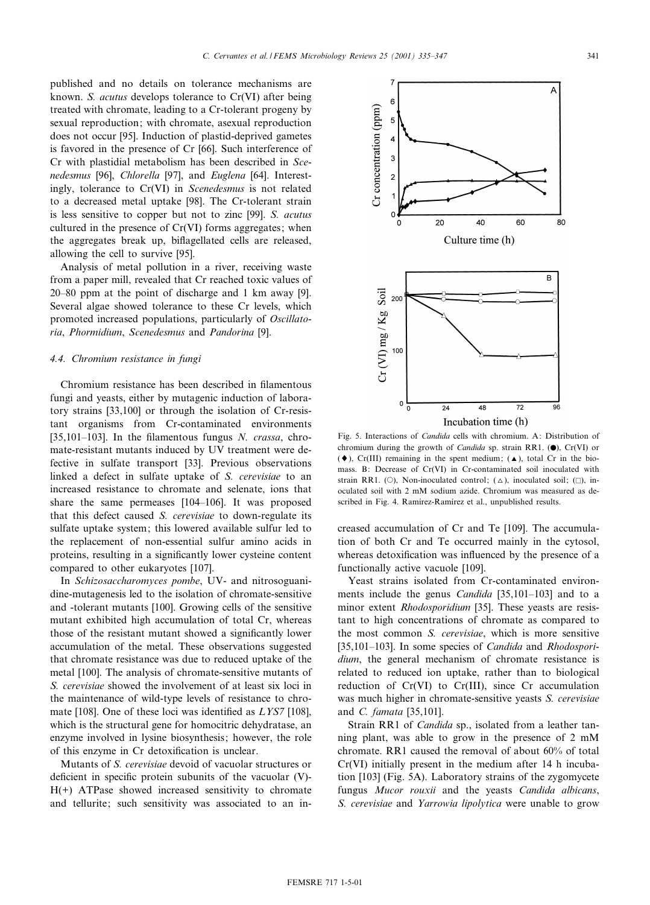published and no details on tolerance mechanisms are known. S. acutus develops tolerance to Cr(VI) after being treated with chromate, leading to a Cr-tolerant progeny by sexual reproduction; with chromate, asexual reproduction does not occur [95]. Induction of plastid-deprived gametes is favored in the presence of Cr [66]. Such interference of Cr with plastidial metabolism has been described in Scenedesmus [96], Chlorella [97], and Euglena [64]. Interestingly, tolerance to Cr(VI) in Scenedesmus is not related to a decreased metal uptake [98]. The Cr-tolerant strain is less sensitive to copper but not to zinc [99]. S. acutus cultured in the presence of Cr(VI) forms aggregates; when the aggregates break up, biflagellated cells are released, allowing the cell to survive [95].

Analysis of metal pollution in a river, receiving waste from a paper mill, revealed that Cr reached toxic values of  $20-80$  ppm at the point of discharge and 1 km away [9]. Several algae showed tolerance to these Cr levels, which promoted increased populations, particularly of Oscillatoria, Phormidium, Scenedesmus and Pandorina [9].

## 4.4. Chromium resistance in fungi

Chromium resistance has been described in filamentous fungi and yeasts, either by mutagenic induction of laboratory strains [33,100] or through the isolation of Cr-resistant organisms from Cr-contaminated environments [35,101–103]. In the filamentous fungus N. crassa, chromate-resistant mutants induced by UV treatment were defective in sulfate transport [33]. Previous observations linked a defect in sulfate uptake of S. cerevisiae to an increased resistance to chromate and selenate, ions that share the same permeases [104-106]. It was proposed that this defect caused S. cerevisiae to down-regulate its sulfate uptake system; this lowered available sulfur led to the replacement of non-essential sulfur amino acids in proteins, resulting in a significantly lower cysteine content compared to other eukaryotes [107].

In Schizosaccharomyces pombe, UV- and nitrosoguanidine-mutagenesis led to the isolation of chromate-sensitive and -tolerant mutants [100]. Growing cells of the sensitive mutant exhibited high accumulation of total Cr, whereas those of the resistant mutant showed a significantly lower accumulation of the metal. These observations suggested that chromate resistance was due to reduced uptake of the metal [100]. The analysis of chromate-sensitive mutants of S. cerevisiae showed the involvement of at least six loci in the maintenance of wild-type levels of resistance to chromate [108]. One of these loci was identified as  $LYS7$  [108], which is the structural gene for homocitric dehydratase, an enzyme involved in lysine biosynthesis; however, the role of this enzyme in Cr detoxification is unclear.

Mutants of S. cerevisiae devoid of vacuolar structures or deficient in specific protein subunits of the vacuolar  $(V)$ -H(+) ATPase showed increased sensitivity to chromate and tellurite; such sensitivity was associated to an in-

Fig. 5. Interactions of Candida cells with chromium. A: Distribution of chromium during the growth of *Candida* sp. strain RR1.  $(\bullet)$ , Cr(VI) or  $(\blacklozenge)$ , Cr(III) remaining in the spent medium;  $(\blacktriangle)$ , total Cr in the biomass. B: Decrease of Cr(VI) in Cr-contaminated soil inoculated with strain RR1. (O), Non-inoculated control;  $(\triangle)$ , inoculated soil;  $(\square)$ , inoculated soil with 2 mM sodium azide. Chromium was measured as described in Fig. 4. Ramírez-Ramírez et al., unpublished results.

creased accumulation of Cr and Te [109]. The accumulation of both Cr and Te occurred mainly in the cytosol, whereas detoxification was influenced by the presence of a functionally active vacuole [109].

Yeast strains isolated from Cr-contaminated environments include the genus *Candida*  $[35,101-103]$  and to a minor extent Rhodosporidium [35]. These yeasts are resistant to high concentrations of chromate as compared to the most common S. cerevisiae, which is more sensitive [35,101–103]. In some species of *Candida* and *Rhodospori*dium, the general mechanism of chromate resistance is related to reduced ion uptake, rather than to biological reduction of  $Cr(VI)$  to  $Cr(III)$ , since  $Cr$  accumulation was much higher in chromate-sensitive yeasts S. cerevisiae and C. famata [35,101].

Strain RR1 of *Candida* sp., isolated from a leather tanning plant, was able to grow in the presence of 2 mM chromate. RR1 caused the removal of about 60% of total Cr(VI) initially present in the medium after 14 h incubation [103] (Fig. 5A). Laboratory strains of the zygomycete fungus Mucor rouxii and the yeasts Candida albicans, S. cerevisiae and Yarrowia lipolytica were unable to grow

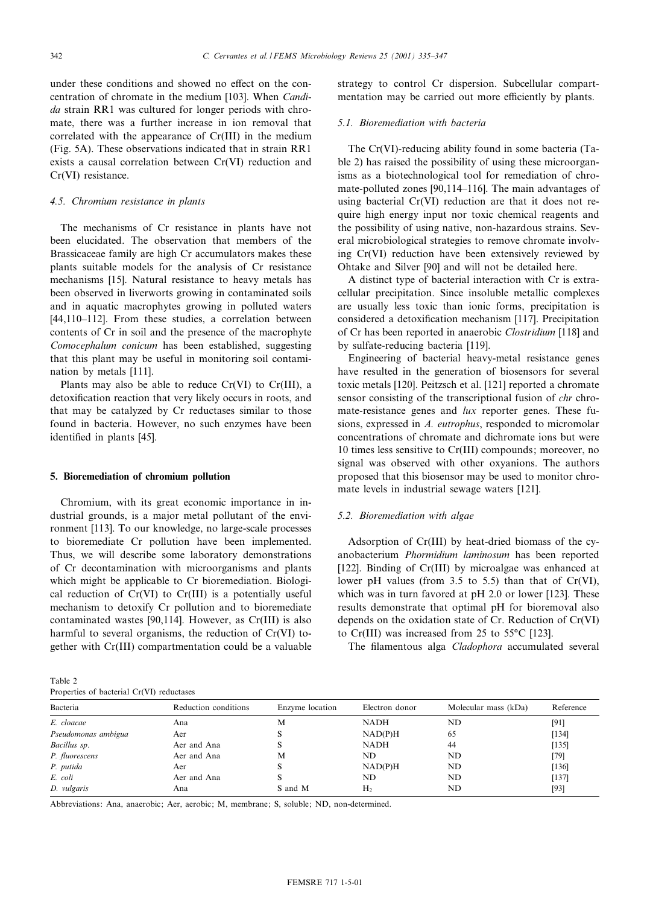under these conditions and showed no effect on the concentration of chromate in the medium [103]. When Candida strain RR1 was cultured for longer periods with chromate, there was a further increase in ion removal that correlated with the appearance of Cr(III) in the medium (Fig. 5A). These observations indicated that in strain RR1 exists a causal correlation between Cr(VI) reduction and Cr(VI) resistance.

# 4.5. Chromium resistance in plants

The mechanisms of Cr resistance in plants have not been elucidated. The observation that members of the Brassicaceae family are high Cr accumulators makes these plants suitable models for the analysis of Cr resistance mechanisms [15]. Natural resistance to heavy metals has been observed in liverworts growing in contaminated soils and in aquatic macrophytes growing in polluted waters [44,110-112]. From these studies, a correlation between contents of Cr in soil and the presence of the macrophyte Comocephalum conicum has been established, suggesting that this plant may be useful in monitoring soil contamination by metals [111].

Plants may also be able to reduce  $Cr(VI)$  to  $Cr(III)$ , a detoxification reaction that very likely occurs in roots, and that may be catalyzed by Cr reductases similar to those found in bacteria. However, no such enzymes have been identified in plants [45].

## 5. Bioremediation of chromium pollution

Chromium, with its great economic importance in industrial grounds, is a major metal pollutant of the environment [113]. To our knowledge, no large-scale processes to bioremediate Cr pollution have been implemented. Thus, we will describe some laboratory demonstrations of Cr decontamination with microorganisms and plants which might be applicable to Cr bioremediation. Biological reduction of Cr(VI) to Cr(III) is a potentially useful mechanism to detoxify Cr pollution and to bioremediate contaminated wastes [90,114]. However, as Cr(III) is also harmful to several organisms, the reduction of Cr(VI) together with Cr(III) compartmentation could be a valuable

Table 2  $\text{costrial } Cr(VI)$  reduct strategy to control Cr dispersion. Subcellular compartmentation may be carried out more efficiently by plants.

## 5.1. Bioremediation with bacteria

The Cr(VI)-reducing ability found in some bacteria (Table 2) has raised the possibility of using these microorganisms as a biotechnological tool for remediation of chromate-polluted zones [90,114-116]. The main advantages of using bacterial Cr(VI) reduction are that it does not require high energy input nor toxic chemical reagents and the possibility of using native, non-hazardous strains. Several microbiological strategies to remove chromate involving Cr(VI) reduction have been extensively reviewed by Ohtake and Silver [90] and will not be detailed here.

A distinct type of bacterial interaction with Cr is extracellular precipitation. Since insoluble metallic complexes are usually less toxic than ionic forms, precipitation is considered a detoxification mechanism [117]. Precipitation of Cr has been reported in anaerobic Clostridium [118] and by sulfate-reducing bacteria [119].

Engineering of bacterial heavy-metal resistance genes have resulted in the generation of biosensors for several toxic metals [120]. Peitzsch et al. [121] reported a chromate sensor consisting of the transcriptional fusion of *chr* chromate-resistance genes and  $lux$  reporter genes. These fusions, expressed in A. eutrophus, responded to micromolar concentrations of chromate and dichromate ions but were 10 times less sensitive to Cr(III) compounds; moreover, no signal was observed with other oxyanions. The authors proposed that this biosensor may be used to monitor chromate levels in industrial sewage waters [121].

# 5.2. Bioremediation with algae

Adsorption of Cr(III) by heat-dried biomass of the cyanobacterium Phormidium laminosum has been reported [122]. Binding of Cr(III) by microalgae was enhanced at lower pH values (from 3.5 to 5.5) than that of Cr(VI), which was in turn favored at pH 2.0 or lower [123]. These results demonstrate that optimal pH for bioremoval also depends on the oxidation state of Cr. Reduction of Cr(VI) to Cr(III) was increased from 25 to  $55^{\circ}$ C [123].

The filamentous alga Cladophora accumulated several

| <b>FLOPELIES</b> OF Dacterial CI(VI) reductases |                      |                 |                |                      |           |  |  |  |
|-------------------------------------------------|----------------------|-----------------|----------------|----------------------|-----------|--|--|--|
| Bacteria                                        | Reduction conditions | Enzyme location | Electron donor | Molecular mass (kDa) | Reference |  |  |  |
| E. cloacae                                      | Ana                  | M               | <b>NADH</b>    | ND                   | [91]      |  |  |  |
| Pseudomonas ambigua                             | Aer                  |                 | NAD(P)H        | 65                   | [134]     |  |  |  |
| Bacillus sp.                                    | Aer and Ana          |                 | NADH           | 44                   | [135]     |  |  |  |
| P. fluorescens                                  | Aer and Ana          | M               | ND.            | ND                   | [79]      |  |  |  |
| P. putida                                       | Aer                  |                 | NAD(P)H        | ND                   | [136]     |  |  |  |
| E. coli                                         | Aer and Ana          |                 | ND.            | ND                   | [137]     |  |  |  |
| D. vulgaris                                     | Ana                  | S and M         | H <sub>2</sub> | ND                   | $[93]$    |  |  |  |

Abbreviations: Ana, anaerobic; Aer, aerobic; M, membrane; S, soluble; ND, non-determined.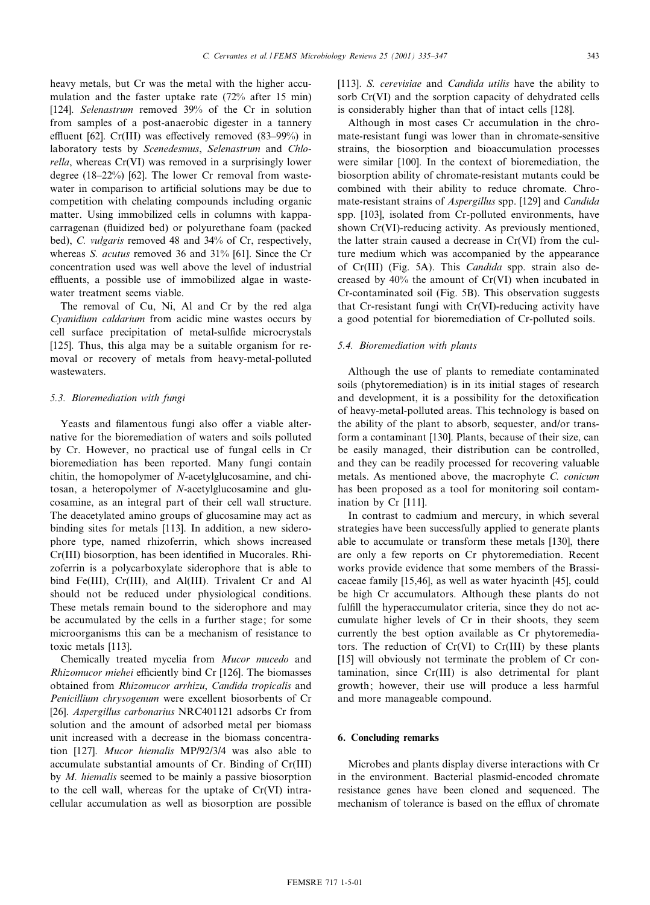heavy metals, but Cr was the metal with the higher accumulation and the faster uptake rate (72% after 15 min) [124]. Selenastrum removed 39% of the Cr in solution from samples of a post-anaerobic digester in a tannery effluent [62]. Cr(III) was effectively removed  $(83-99%)$  in laboratory tests by Scenedesmus, Selenastrum and Chlorella, whereas Cr(VI) was removed in a surprisingly lower degree  $(18-22%)$  [62]. The lower Cr removal from wastewater in comparison to artificial solutions may be due to competition with chelating compounds including organic matter. Using immobilized cells in columns with kappacarragenan (fluidized bed) or polyurethane foam (packed bed), C. vulgaris removed 48 and 34% of Cr, respectively, whereas S. acutus removed 36 and 31% [61]. Since the Cr concentration used was well above the level of industrial effluents, a possible use of immobilized algae in wastewater treatment seems viable.

The removal of Cu, Ni, Al and Cr by the red alga Cyanidium caldarium from acidic mine wastes occurs by cell surface precipitation of metal-sulfide microcrystals [125]. Thus, this alga may be a suitable organism for removal or recovery of metals from heavy-metal-polluted wastewaters.

# 5.3. Bioremediation with fungi

Yeasts and filamentous fungi also offer a viable alternative for the bioremediation of waters and soils polluted by Cr. However, no practical use of fungal cells in Cr bioremediation has been reported. Many fungi contain chitin, the homopolymer of N-acetylglucosamine, and chitosan, a heteropolymer of N-acetylglucosamine and glucosamine, as an integral part of their cell wall structure. The deacetylated amino groups of glucosamine may act as binding sites for metals [113]. In addition, a new siderophore type, named rhizoferrin, which shows increased Cr(III) biosorption, has been identified in Mucorales. Rhizoferrin is a polycarboxylate siderophore that is able to bind Fe(III), Cr(III), and Al(III). Trivalent Cr and Al should not be reduced under physiological conditions. These metals remain bound to the siderophore and may be accumulated by the cells in a further stage; for some microorganisms this can be a mechanism of resistance to toxic metals [113].

Chemically treated mycelia from Mucor mucedo and Rhizomucor miehei efficiently bind Cr [126]. The biomasses obtained from Rhizomucor arrhizu, Candida tropicalis and Penicillium chrysogenum were excellent biosorbents of Cr [26]. Aspergillus carbonarius NRC401121 adsorbs Cr from solution and the amount of adsorbed metal per biomass unit increased with a decrease in the biomass concentration [127]. Mucor hiemalis MP/92/3/4 was also able to accumulate substantial amounts of Cr. Binding of Cr(III) by M. hiemalis seemed to be mainly a passive biosorption to the cell wall, whereas for the uptake of Cr(VI) intracellular accumulation as well as biosorption are possible [113]. S. cerevisiae and Candida utilis have the ability to sorb Cr(VI) and the sorption capacity of dehydrated cells is considerably higher than that of intact cells [128].

Although in most cases Cr accumulation in the chromate-resistant fungi was lower than in chromate-sensitive strains, the biosorption and bioaccumulation processes were similar [100]. In the context of bioremediation, the biosorption ability of chromate-resistant mutants could be combined with their ability to reduce chromate. Chromate-resistant strains of Aspergillus spp. [129] and Candida spp. [103], isolated from Cr-polluted environments, have shown Cr(VI)-reducing activity. As previously mentioned, the latter strain caused a decrease in Cr(VI) from the culture medium which was accompanied by the appearance of Cr(III) (Fig. 5A). This Candida spp. strain also decreased by 40% the amount of Cr(VI) when incubated in Cr-contaminated soil (Fig. 5B). This observation suggests that Cr-resistant fungi with Cr(VI)-reducing activity have a good potential for bioremediation of Cr-polluted soils.

## 5.4. Bioremediation with plants

Although the use of plants to remediate contaminated soils (phytoremediation) is in its initial stages of research and development, it is a possibility for the detoxification of heavy-metal-polluted areas. This technology is based on the ability of the plant to absorb, sequester, and/or transform a contaminant [130]. Plants, because of their size, can be easily managed, their distribution can be controlled, and they can be readily processed for recovering valuable metals. As mentioned above, the macrophyte C. conicum has been proposed as a tool for monitoring soil contamination by Cr [111].

In contrast to cadmium and mercury, in which several strategies have been successfully applied to generate plants able to accumulate or transform these metals [130], there are only a few reports on Cr phytoremediation. Recent works provide evidence that some members of the Brassicaceae family [15,46], as well as water hyacinth [45], could be high Cr accumulators. Although these plants do not fulfill the hyperaccumulator criteria, since they do not accumulate higher levels of Cr in their shoots, they seem currently the best option available as Cr phytoremediators. The reduction of  $Cr(VI)$  to  $Cr(III)$  by these plants [15] will obviously not terminate the problem of Cr contamination, since Cr(III) is also detrimental for plant growth; however, their use will produce a less harmful and more manageable compound.

# 6. Concluding remarks

Microbes and plants display diverse interactions with Cr in the environment. Bacterial plasmid-encoded chromate resistance genes have been cloned and sequenced. The mechanism of tolerance is based on the efflux of chromate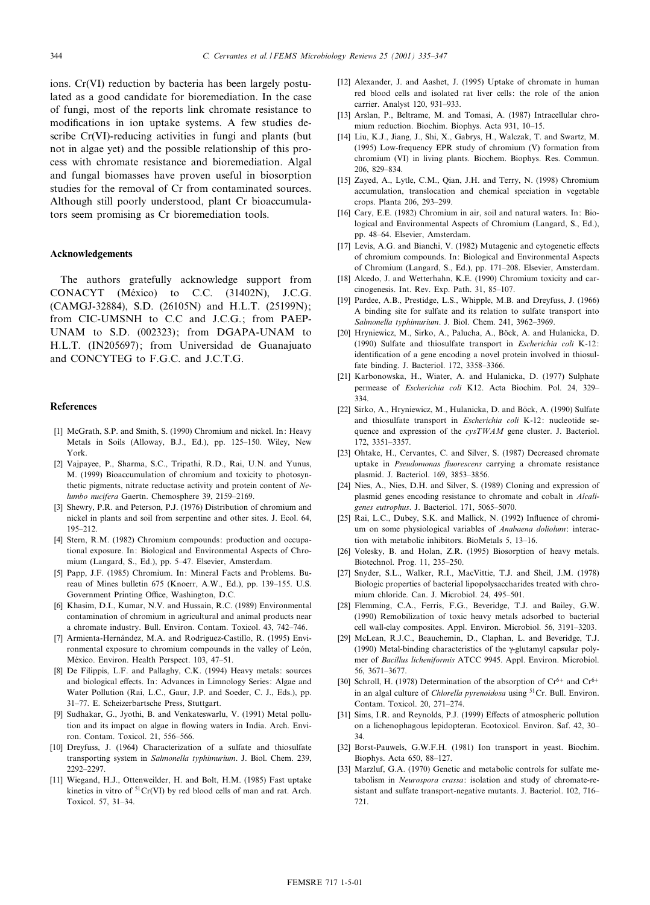ions. Cr(VI) reduction by bacteria has been largely postulated as a good candidate for bioremediation. In the case of fungi, most of the reports link chromate resistance to modifications in ion uptake systems. A few studies describe Cr(VI)-reducing activities in fungi and plants (but not in algae yet) and the possible relationship of this process with chromate resistance and bioremediation. Algal and fungal biomasses have proven useful in biosorption studies for the removal of Cr from contaminated sources. Although still poorly understood, plant Cr bioaccumulators seem promising as Cr bioremediation tools.

## Acknowledgements

The authors gratefully acknowledge support from CONACYT (México) to C.C. (31402N), J.C.G. (CAMGJ-32884), S.D. (26105N) and H.L.T. (25199N); from CIC-UMSNH to C.C and J.C.G.; from PAEP-UNAM to S.D. (002323); from DGAPA-UNAM to H.L.T. (IN205697); from Universidad de Guanajuato and CONCYTEG to F.G.C. and J.C.T.G.

#### References

- [1] McGrath, S.P. and Smith, S. (1990) Chromium and nickel. In: Heavy Metals in Soils (Alloway, B.J., Ed.), pp. 125-150. Wiley, New York.
- [2] Vajpayee, P., Sharma, S.C., Tripathi, R.D., Rai, U.N. and Yunus, M. (1999) Bioaccumulation of chromium and toxicity to photosynthetic pigments, nitrate reductase activity and protein content of  $Ne$ lumbo nucifera Gaertn. Chemosphere 39, 2159-2169.
- [3] Shewry, P.R. and Peterson, P.J. (1976) Distribution of chromium and nickel in plants and soil from serpentine and other sites. J. Ecol. 64, 195^212.
- [4] Stern, R.M. (1982) Chromium compounds: production and occupational exposure. In: Biological and Environmental Aspects of Chromium (Langard, S., Ed.), pp. 5^47. Elsevier, Amsterdam.
- [5] Papp, J.F. (1985) Chromium. In: Mineral Facts and Problems. Bureau of Mines bulletin 675 (Knoerr, A.W., Ed.), pp. 139-155. U.S. Government Printing Office, Washington, D.C.
- [6] Khasim, D.I., Kumar, N.V. and Hussain, R.C. (1989) Environmental contamination of chromium in agricultural and animal products near a chromate industry. Bull. Environ. Contam. Toxicol. 43, 742-746.
- [7] Armienta-Hernández, M.A. and Rodríguez-Castillo, R. (1995) Environmental exposure to chromium compounds in the valley of León, México. Environ. Health Perspect. 103, 47-51.
- [8] De Filippis, L.F. and Pallaghy, C.K. (1994) Heavy metals: sources and biological effects. In: Advances in Limnology Series: Algae and Water Pollution (Rai, L.C., Gaur, J.P. and Soeder, C. J., Eds.), pp. 31-77. E. Scheizerbartsche Press, Stuttgart.
- [9] Sudhakar, G., Jyothi, B. and Venkateswarlu, V. (1991) Metal pollution and its impact on algae in flowing waters in India. Arch. Environ. Contam. Toxicol. 21, 556^566.
- [10] Dreyfuss, J. (1964) Characterization of a sulfate and thiosulfate transporting system in Salmonella typhimurium. J. Biol. Chem. 239, 2292^2297.
- [11] Wiegand, H.J., Ottenweilder, H. and Bolt, H.M. (1985) Fast uptake kinetics in vitro of  ${}^{51}Cr(VI)$  by red blood cells of man and rat. Arch. Toxicol. 57, 31^34.
- [12] Alexander, J. and Aashet, J. (1995) Uptake of chromate in human red blood cells and isolated rat liver cells: the role of the anion carrier. Analyst 120, 931^933.
- [13] Arslan, P., Beltrame, M. and Tomasi, A. (1987) Intracellular chromium reduction. Biochim. Biophys. Acta 931, 10^15.
- [14] Liu, K.J., Jiang, J., Shi, X., Gabrys, H., Walczak, T. and Swartz, M. (1995) Low-frequency EPR study of chromium (V) formation from chromium (VI) in living plants. Biochem. Biophys. Res. Commun. 206, 829^834.
- [15] Zayed, A., Lytle, C.M., Qian, J.H. and Terry, N. (1998) Chromium accumulation, translocation and chemical speciation in vegetable crops. Planta 206, 293^299.
- [16] Cary, E.E. (1982) Chromium in air, soil and natural waters. In: Biological and Environmental Aspects of Chromium (Langard, S., Ed.), pp. 48^64. Elsevier, Amsterdam.
- [17] Levis, A.G. and Bianchi, V. (1982) Mutagenic and cytogenetic effects of chromium compounds. In: Biological and Environmental Aspects of Chromium (Langard, S., Ed.), pp. 171^208. Elsevier, Amsterdam.
- [18] Alcedo, J. and Wetterhahn, K.E. (1990) Chromium toxicity and carcinogenesis. Int. Rev. Exp. Path. 31, 85^107.
- [19] Pardee, A.B., Prestidge, L.S., Whipple, M.B. and Dreyfuss, J. (1966) A binding site for sulfate and its relation to sulfate transport into Salmonella typhimurium. J. Biol. Chem. 241, 3962-3969.
- [20] Hryniewicz, M., Sirko, A., Palucha, A., Böck, A. and Hulanicka, D. (1990) Sulfate and thiosulfate transport in Escherichia coli K-12: identification of a gene encoding a novel protein involved in thiosulfate binding. J. Bacteriol. 172, 3358-3366.
- [21] Karbonowska, H., Wiater, A. and Hulanicka, D. (1977) Sulphate permease of Escherichia coli K12. Acta Biochim. Pol. 24, 329-334.
- [22] Sirko, A., Hryniewicz, M., Hulanicka, D. and Böck, A. (1990) Sulfate and thiosulfate transport in Escherichia coli K-12: nucleotide sequence and expression of the cysTWAM gene cluster. J. Bacteriol. 172, 3351^3357.
- [23] Ohtake, H., Cervantes, C. and Silver, S. (1987) Decreased chromate uptake in Pseudomonas fluorescens carrying a chromate resistance plasmid. J. Bacteriol. 169, 3853-3856.
- [24] Nies, A., Nies, D.H. and Silver, S. (1989) Cloning and expression of plasmid genes encoding resistance to chromate and cobalt in Alcaligenes eutrophus. J. Bacteriol. 171, 5065-5070.
- [25] Rai, L.C., Dubey, S.K. and Mallick, N. (1992) Influence of chromium on some physiological variables of Anabaena doliolum: interaction with metabolic inhibitors. BioMetals 5, 13^16.
- [26] Volesky, B. and Holan, Z.R. (1995) Biosorption of heavy metals. Biotechnol. Prog. 11, 235^250.
- [27] Snyder, S.L., Walker, R.I., MacVittie, T.J. and Sheil, J.M. (1978) Biologic properties of bacterial lipopolysaccharides treated with chromium chloride. Can. J. Microbiol. 24, 495^501.
- [28] Flemming, C.A., Ferris, F.G., Beveridge, T.J. and Bailey, G.W. (1990) Remobilization of toxic heavy metals adsorbed to bacterial cell wall-clay composites. Appl. Environ. Microbiol. 56, 3191^3203.
- [29] McLean, R.J.C., Beauchemin, D., Claphan, L. and Beveridge, T.J. (1990) Metal-binding characteristics of the  $\gamma$ -glutamyl capsular polymer of Bacillus licheniformis ATCC 9945. Appl. Environ. Microbiol. 56, 3671^3677.
- [30] Schroll, H. (1978) Determination of the absorption of  $Cr^{6+}$  and  $Cr^{6+}$ in an algal culture of *Chlorella pyrenoidosa* using <sup>51</sup>Cr. Bull. Environ. Contam. Toxicol. 20, 271-274.
- [31] Sims, I.R. and Reynolds, P.J. (1999) Effects of atmospheric pollution on a lichenophagous lepidopteran. Ecotoxicol. Environ. Saf. 42, 30^ 34.
- [32] Borst-Pauwels, G.W.F.H. (1981) Ion transport in yeast. Biochim. Biophys. Acta 650, 88^127.
- [33] Marzluf, G.A. (1970) Genetic and metabolic controls for sulfate metabolism in Neurospora crassa: isolation and study of chromate-resistant and sulfate transport-negative mutants. J. Bacteriol. 102, 716– 721.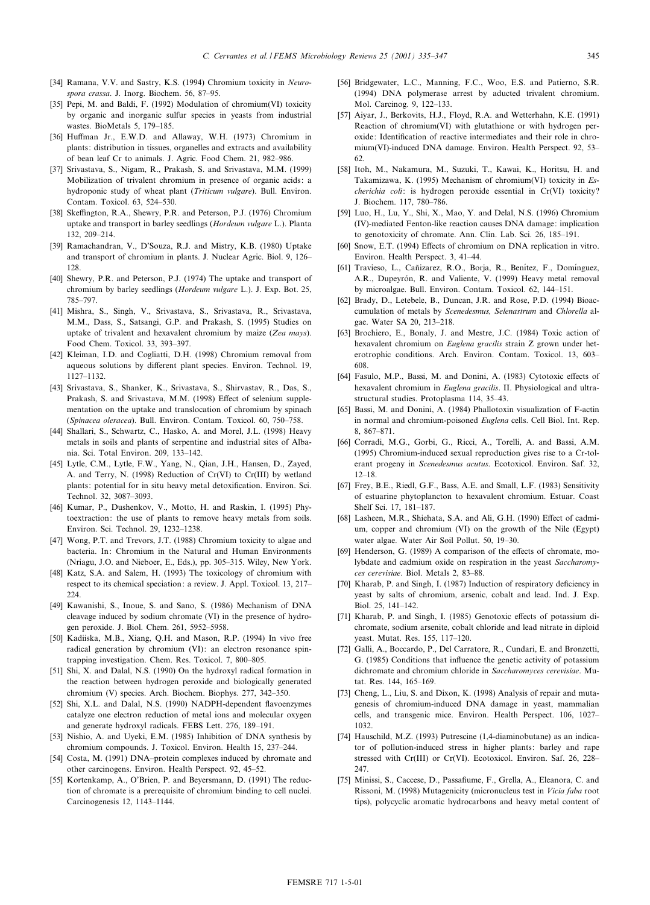- [34] Ramana, V.V. and Sastry, K.S. (1994) Chromium toxicity in Neurospora crassa. J. Inorg. Biochem. 56, 87-95.
- [35] Pepi, M. and Baldi, F. (1992) Modulation of chromium(VI) toxicity by organic and inorganic sulfur species in yeasts from industrial wastes. BioMetals 5, 179-185.
- [36] Huffman Jr., E.W.D. and Allaway, W.H. (1973) Chromium in plants: distribution in tissues, organelles and extracts and availability of bean leaf Cr to animals. J. Agric. Food Chem. 21, 982^986.
- [37] Srivastava, S., Nigam, R., Prakash, S. and Srivastava, M.M. (1999) Mobilization of trivalent chromium in presence of organic acids: a hydroponic study of wheat plant (Triticum vulgare). Bull. Environ. Contam. Toxicol. 63, 524^530.
- [38] Skeffington, R.A., Shewry, P.R. and Peterson, P.J. (1976) Chromium uptake and transport in barley seedlings  $(Hordeum value are L)$ . Planta 132, 209^214.
- [39] Ramachandran, V., D'Souza, R.J. and Mistry, K.B. (1980) Uptake and transport of chromium in plants. J. Nuclear Agric. Biol. 9, 126^ 128.
- [40] Shewry, P.R. and Peterson, P.J. (1974) The uptake and transport of chromium by barley seedlings (Hordeum vulgare L.). J. Exp. Bot. 25, 785^797.
- [41] Mishra, S., Singh, V., Srivastava, S., Srivastava, R., Srivastava, M.M., Dass, S., Satsangi, G.P. and Prakash, S. (1995) Studies on uptake of trivalent and hexavalent chromium by maize (Zea mays). Food Chem. Toxicol. 33, 393^397.
- [42] Kleiman, I.D. and Cogliatti, D.H. (1998) Chromium removal from aqueous solutions by different plant species. Environ. Technol. 19, 1127^1132.
- [43] Srivastava, S., Shanker, K., Srivastava, S., Shirvastav, R., Das, S., Prakash, S. and Srivastava, M.M. (1998) Effect of selenium supplementation on the uptake and translocation of chromium by spinach (Spinacea oleracea). Bull. Environ. Contam. Toxicol. 60, 750-758.
- [44] Shallari, S., Schwartz, C., Hasko, A. and Morel, J.L. (1998) Heavy metals in soils and plants of serpentine and industrial sites of Albania. Sci. Total Environ. 209, 133^142.
- [45] Lytle, C.M., Lytle, F.W., Yang, N., Qian, J.H., Hansen, D., Zayed, A. and Terry, N. (1998) Reduction of Cr(VI) to Cr(III) by wetland plants: potential for in situ heavy metal detoxification. Environ. Sci. Technol. 32, 3087-3093.
- [46] Kumar, P., Dushenkov, V., Motto, H. and Raskin, I. (1995) Phytoextraction: the use of plants to remove heavy metals from soils. Environ. Sci. Technol. 29, 1232-1238.
- [47] Wong, P.T. and Trevors, J.T. (1988) Chromium toxicity to algae and bacteria. In: Chromium in the Natural and Human Environments (Nriagu, J.O. and Nieboer, E., Eds.), pp. 305-315. Wiley, New York.
- [48] Katz, S.A. and Salem, H. (1993) The toxicology of chromium with respect to its chemical speciation: a review. J. Appl. Toxicol. 13, 217^ 224
- [49] Kawanishi, S., Inoue, S. and Sano, S. (1986) Mechanism of DNA cleavage induced by sodium chromate (VI) in the presence of hydrogen peroxide. J. Biol. Chem. 261, 5952^5958.
- [50] Kadiiska, M.B., Xiang, O.H. and Mason, R.P. (1994) In vivo free radical generation by chromium (VI): an electron resonance spintrapping investigation. Chem. Res. Toxicol. 7, 800-805.
- [51] Shi, X. and Dalal, N.S. (1990) On the hydroxyl radical formation in the reaction between hydrogen peroxide and biologically generated chromium (V) species. Arch. Biochem. Biophys. 277, 342^350.
- [52] Shi, X.L. and Dalal, N.S. (1990) NADPH-dependent flavoenzymes catalyze one electron reduction of metal ions and molecular oxygen and generate hydroxyl radicals. FEBS Lett. 276, 189-191.
- [53] Nishio, A. and Uyeki, E.M. (1985) Inhibition of DNA synthesis by chromium compounds. J. Toxicol. Environ. Health 15, 237-244.
- [54] Costa, M. (1991) DNA-protein complexes induced by chromate and other carcinogens. Environ. Health Perspect. 92, 45^52.
- [55] Kortenkamp, A., O'Brien, P. and Beyersmann, D. (1991) The reduction of chromate is a prerequisite of chromium binding to cell nuclei. Carcinogenesis 12, 1143-1144.
- [56] Bridgewater, L.C., Manning, F.C., Woo, E.S. and Patierno, S.R. (1994) DNA polymerase arrest by aducted trivalent chromium. Mol. Carcinog. 9, 122^133.
- [57] Aiyar, J., Berkovits, H.J., Floyd, R.A. and Wetterhahn, K.E. (1991) Reaction of chromium(VI) with glutathione or with hydrogen peroxide: Identification of reactive intermediates and their role in chromium(VI)-induced DNA damage. Environ. Health Perspect. 92, 53^ 62.
- [58] Itoh, M., Nakamura, M., Suzuki, T., Kawai, K., Horitsu, H. and Takamizawa, K. (1995) Mechanism of chromium(VI) toxicity in Escherichia coli: is hydrogen peroxide essential in Cr(VI) toxicity? J. Biochem. 117, 780-786.
- [59] Luo, H., Lu, Y., Shi, X., Mao, Y. and Delal, N.S. (1996) Chromium (IV)-mediated Fenton-like reaction causes DNA damage: implication to genotoxicity of chromate. Ann. Clin. Lab. Sci. 26, 185-191.
- [60] Snow, E.T. (1994) Effects of chromium on DNA replication in vitro. Environ. Health Perspect. 3, 41-44.
- [61] Travieso, L., Cañizarez, R.O., Borja, R., Benítez, F., Domínguez, A.R., Dupeyrón, R. and Valiente, V. (1999) Heavy metal removal by microalgae. Bull. Environ. Contam. Toxicol. 62, 144^151.
- [62] Brady, D., Letebele, B., Duncan, J.R. and Rose, P.D. (1994) Bioaccumulation of metals by Scenedesmus, Selenastrum and Chlorella algae. Water SA 20, 213^218.
- [63] Brochiero, E., Bonaly, J. and Mestre, J.C. (1984) Toxic action of hexavalent chromium on Euglena gracilis strain Z grown under heterotrophic conditions. Arch. Environ. Contam. Toxicol. 13, 603^ 608.
- [64] Fasulo, M.P., Bassi, M. and Donini, A. (1983) Cytotoxic effects of hexavalent chromium in Euglena gracilis. II. Physiological and ultrastructural studies. Protoplasma 114, 35-43.
- [65] Bassi, M. and Donini, A. (1984) Phallotoxin visualization of F-actin in normal and chromium-poisoned Euglena cells. Cell Biol. Int. Rep. 8, 867-871.
- [66] Corradi, M.G., Gorbi, G., Ricci, A., Torelli, A. and Bassi, A.M. (1995) Chromium-induced sexual reproduction gives rise to a Cr-tolerant progeny in Scenedesmus acutus. Ecotoxicol. Environ. Saf. 32,  $12 - 18$ .
- [67] Frey, B.E., Riedl, G.F., Bass, A.E. and Small, L.F. (1983) Sensitivity of estuarine phytoplancton to hexavalent chromium. Estuar. Coast Shelf Sci. 17, 181-187.
- [68] Lasheen, M.R., Shiehata, S.A. and Ali, G.H. (1990) Effect of cadmium, copper and chromium (VI) on the growth of the Nile (Egypt) water algae. Water Air Soil Pollut. 50, 19-30.
- [69] Henderson, G. (1989) A comparison of the effects of chromate, molybdate and cadmium oxide on respiration in the yeast Saccharomyces cerevisiae. Biol. Metals 2, 83-88.
- [70] Kharab, P. and Singh, I. (1987) Induction of respiratory deficiency in yeast by salts of chromium, arsenic, cobalt and lead. Ind. J. Exp. Biol. 25, 141^142.
- [71] Kharab, P. and Singh, I. (1985) Genotoxic effects of potassium dichromate, sodium arsenite, cobalt chloride and lead nitrate in diploid yeast. Mutat. Res. 155, 117^120.
- [72] Galli, A., Boccardo, P., Del Carratore, R., Cundari, E. and Bronzetti, G. (1985) Conditions that influence the genetic activity of potassium dichromate and chromium chloride in Saccharomyces cerevisiae. Mutat. Res. 144, 165-169.
- [73] Cheng, L., Liu, S. and Dixon, K. (1998) Analysis of repair and mutagenesis of chromium-induced DNA damage in yeast, mammalian cells, and transgenic mice. Environ. Health Perspect. 106, 1027^ 1032.
- [74] Hauschild, M.Z. (1993) Putrescine (1,4-diaminobutane) as an indicator of pollution-induced stress in higher plants: barley and rape stressed with Cr(III) or Cr(VI). Ecotoxicol. Environ. Saf. 26, 228^ 247.
- [75] Minissi, S., Caccese, D., Passafiume, F., Grella, A., Eleanora, C. and Rissoni, M. (1998) Mutagenicity (micronucleus test in Vicia faba root tips), polycyclic aromatic hydrocarbons and heavy metal content of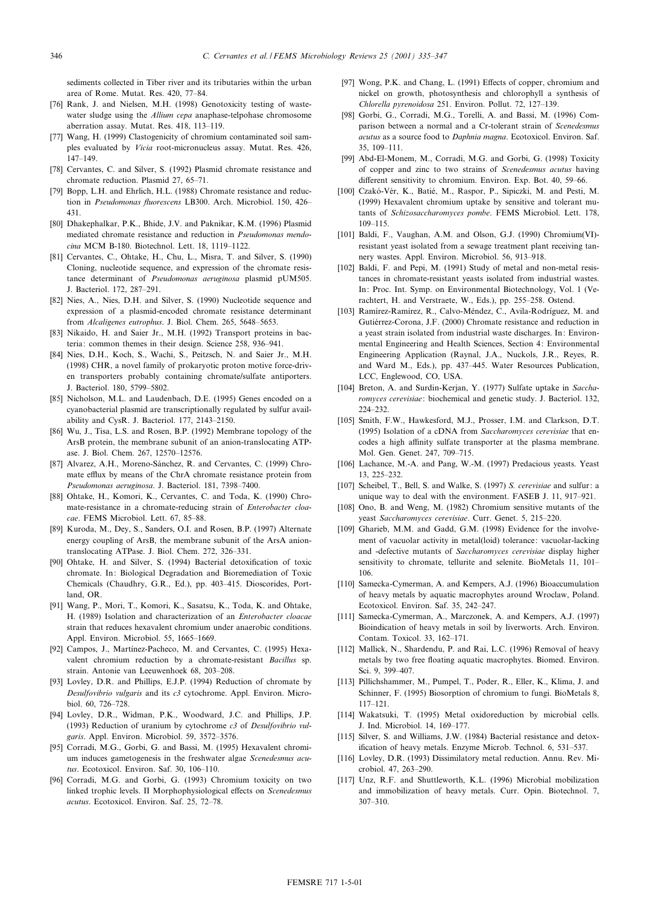sediments collected in Tiber river and its tributaries within the urban area of Rome. Mutat. Res. 420, 77-84.

- [76] Rank, J. and Nielsen, M.H. (1998) Genotoxicity testing of wastewater sludge using the Allium cepa anaphase-telpohase chromosome aberration assay. Mutat. Res. 418, 113-119.
- [77] Wang, H. (1999) Clastogenicity of chromium contaminated soil samples evaluated by Vicia root-micronucleus assay. Mutat. Res. 426, 147^149.
- [78] Cervantes, C. and Silver, S. (1992) Plasmid chromate resistance and chromate reduction. Plasmid 27, 65-71.
- [79] Bopp, L.H. and Ehrlich, H.L. (1988) Chromate resistance and reduction in Pseudomonas fluorescens LB300. Arch. Microbiol. 150, 426-431.
- [80] Dhakephalkar, P.K., Bhide, J.V. and Paknikar, K.M. (1996) Plasmid mediated chromate resistance and reduction in Pseudomonas mendocina MCM B-180. Biotechnol. Lett. 18, 1119-1122.
- [81] Cervantes, C., Ohtake, H., Chu, L., Misra, T. and Silver, S. (1990) Cloning, nucleotide sequence, and expression of the chromate resistance determinant of Pseudomonas aeruginosa plasmid pUM505. J. Bacteriol. 172, 287-291.
- [82] Nies, A., Nies, D.H. and Silver, S. (1990) Nucleotide sequence and expression of a plasmid-encoded chromate resistance determinant from Alcaligenes eutrophus. J. Biol. Chem. 265, 5648-5653.
- [83] Nikaido, H. and Saier Jr., M.H. (1992) Transport proteins in bacteria: common themes in their design. Science 258, 936-941.
- [84] Nies, D.H., Koch, S., Wachi, S., Peitzsch, N. and Saier Jr., M.H. (1998) CHR, a novel family of prokaryotic proton motive force-driven transporters probably containing chromate/sulfate antiporters. J. Bacteriol. 180, 5799-5802.
- [85] Nicholson, M.L. and Laudenbach, D.E. (1995) Genes encoded on a cyanobacterial plasmid are transcriptionally regulated by sulfur availability and CysR. J. Bacteriol. 177, 2143^2150.
- [86] Wu, J., Tisa, L.S. and Rosen, B.P. (1992) Membrane topology of the ArsB protein, the membrane subunit of an anion-translocating ATPase. J. Biol. Chem. 267, 12570^12576.
- [87] Alvarez, A.H., Moreno-Sánchez, R. and Cervantes, C. (1999) Chromate efflux by means of the ChrA chromate resistance protein from Pseudomonas aeruginosa. J. Bacteriol. 181, 7398-7400.
- [88] Ohtake, H., Komori, K., Cervantes, C. and Toda, K. (1990) Chromate-resistance in a chromate-reducing strain of Enterobacter cloacae. FEMS Microbiol. Lett. 67, 85-88.
- [89] Kuroda, M., Dey, S., Sanders, O.I. and Rosen, B.P. (1997) Alternate energy coupling of ArsB, the membrane subunit of the ArsA aniontranslocating ATPase. J. Biol. Chem. 272, 326^331.
- [90] Ohtake, H. and Silver, S. (1994) Bacterial detoxification of toxic chromate. In: Biological Degradation and Bioremediation of Toxic Chemicals (Chaudhry, G.R., Ed.), pp. 403^415. Dioscorides, Portland, OR.
- [91] Wang, P., Mori, T., Komori, K., Sasatsu, K., Toda, K. and Ohtake, H. (1989) Isolation and characterization of an Enterobacter cloacae strain that reduces hexavalent chromium under anaerobic conditions. Appl. Environ. Microbiol. 55, 1665-1669.
- [92] Campos, J., Martínez-Pacheco, M. and Cervantes, C. (1995) Hexavalent chromium reduction by a chromate-resistant Bacillus sp. strain. Antonie van Leeuwenhoek 68, 203-208.
- [93] Lovley, D.R. and Phillips, E.J.P. (1994) Reduction of chromate by Desulfovibrio vulgaris and its c3 cytochrome. Appl. Environ. Microbiol. 60, 726-728.
- [94] Lovley, D.R., Widman, P.K., Woodward, J.C. and Phillips, J.P. (1993) Reduction of uranium by cytochrome  $c3$  of Desulfovibrio vulgaris. Appl. Environ. Microbiol. 59, 3572^3576.
- [95] Corradi, M.G., Gorbi, G. and Bassi, M. (1995) Hexavalent chromium induces gametogenesis in the freshwater algae Scenedesmus acutus. Ecotoxicol. Environ. Saf. 30, 106-110.
- [96] Corradi, M.G. and Gorbi, G. (1993) Chromium toxicity on two linked trophic levels. II Morphophysiological effects on Scenedesmus acutus. Ecotoxicol. Environ. Saf. 25, 72-78.
- [97] Wong, P.K. and Chang, L. (1991) Effects of copper, chromium and nickel on growth, photosynthesis and chlorophyll a synthesis of Chlorella pyrenoidosa 251. Environ. Pollut. 72, 127^139.
- [98] Gorbi, G., Corradi, M.G., Torelli, A. and Bassi, M. (1996) Comparison between a normal and a Cr-tolerant strain of Scenedesmus acutus as a source food to Daphnia magna. Ecotoxicol. Environ. Saf. 35, 109^111.
- [99] Abd-El-Monem, M., Corradi, M.G. and Gorbi, G. (1998) Toxicity of copper and zinc to two strains of Scenedesmus acutus having different sensitivity to chromium. Environ. Exp. Bot. 40, 59-66.
- [100] Czakó-Vér, K., Batié, M., Raspor, P., Sipiczki, M. and Pesti, M. (1999) Hexavalent chromium uptake by sensitive and tolerant mutants of Schizosaccharomyces pombe. FEMS Microbiol. Lett. 178, 109^115.
- [101] Baldi, F., Vaughan, A.M. and Olson, G.J. (1990) Chromium(VI)resistant yeast isolated from a sewage treatment plant receiving tannery wastes. Appl. Environ. Microbiol. 56, 913^918.
- [102] Baldi, F. and Pepi, M. (1991) Study of metal and non-metal resistances in chromate-resistant yeasts isolated from industrial wastes. In: Proc. Int. Symp. on Environmental Biotechnology, Vol. 1 (Verachtert, H. and Verstraete, W., Eds.), pp. 255^258. Ostend.
- [103] Ramirez-Ramirez, R., Calvo-Méndez, C., Avila-Rodríguez, M. and Gutiérrez-Corona, J.F. (2000) Chromate resistance and reduction in a yeast strain isolated from industrial waste discharges. In: Environmental Engineering and Health Sciences, Section 4: Environmental Engineering Application (Raynal, J.A., Nuckols, J.R., Reyes, R. and Ward M., Eds.), pp. 437-445. Water Resources Publication, LCC, Englewood, CO, USA.
- [104] Breton, A. and Surdin-Kerjan, Y. (1977) Sulfate uptake in Saccharomyces cerevisiae: biochemical and genetic study. J. Bacteriol. 132, 224^232.
- [105] Smith, F.W., Hawkesford, M.J., Prosser, I.M. and Clarkson, D.T. (1995) Isolation of a cDNA from Saccharomyces cerevisiae that encodes a high affinity sulfate transporter at the plasma membrane. Mol. Gen. Genet. 247, 709-715.
- [106] Lachance, M.-A. and Pang, W.-M. (1997) Predacious yeasts. Yeast 13, 225^232.
- [107] Scheibel, T., Bell, S. and Walke, S. (1997) S. cerevisiae and sulfur: a unique way to deal with the environment. FASEB J. 11, 917-921.
- [108] Ono, B. and Weng, M. (1982) Chromium sensitive mutants of the yeast Saccharomyces cerevisiae. Curr. Genet. 5, 215-220.
- [109] Gharieb, M.M. and Gadd, G.M. (1998) Evidence for the involvement of vacuolar activity in metal(loid) tolerance: vacuolar-lacking and -defective mutants of Saccharomyces cerevisiae display higher sensitivity to chromate, tellurite and selenite. BioMetals 11, 101-106.
- [110] Samecka-Cymerman, A. and Kempers, A.J. (1996) Bioaccumulation of heavy metals by aquatic macrophytes around Wroclaw, Poland. Ecotoxicol. Environ. Saf. 35, 242-247.
- [111] Samecka-Cymerman, A., Marczonek, A. and Kempers, A.J. (1997) Bioindication of heavy metals in soil by liverworts. Arch. Environ. Contam. Toxicol. 33, 162-171.
- [112] Mallick, N., Shardendu, P. and Rai, L.C. (1996) Removal of heavy metals by two free floating aquatic macrophytes. Biomed. Environ. Sci. 9, 399-407.
- [113] Pillichshammer, M., Pumpel, T., Poder, R., Eller, K., Klima, J. and Schinner, F. (1995) Biosorption of chromium to fungi. BioMetals 8, 117^121.
- [114] Wakatsuki, T. (1995) Metal oxidoreduction by microbial cells. J. Ind. Microbiol. 14, 169^177.
- [115] Silver, S. and Williams, J.W. (1984) Bacterial resistance and detoxification of heavy metals. Enzyme Microb. Technol. 6, 531-537.
- [116] Lovley, D.R. (1993) Dissimilatory metal reduction. Annu. Rev. Microbiol. 47, 263^290.
- [117] Unz, R.F. and Shuttleworth, K.L. (1996) Microbial mobilization and immobilization of heavy metals. Curr. Opin. Biotechnol. 7, 307^310.